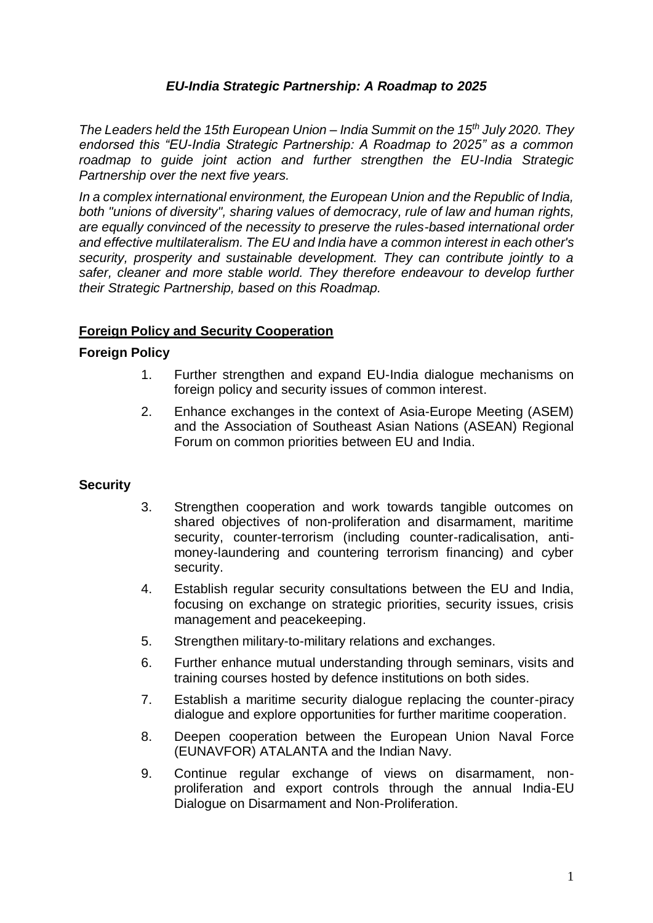# *EU-India Strategic Partnership: A Roadmap to 2025*

*The Leaders held the 15th European Union – India Summit on the 15th July 2020. They endorsed this "EU-India Strategic Partnership: A Roadmap to 2025" as a common roadmap to guide joint action and further strengthen the EU-India Strategic Partnership over the next five years.* 

*In a complex international environment, the European Union and the Republic of India, both "unions of diversity", sharing values of democracy, rule of law and human rights, are equally convinced of the necessity to preserve the rules-based international order and effective multilateralism. The EU and India have a common interest in each other's security, prosperity and sustainable development. They can contribute jointly to a safer, cleaner and more stable world. They therefore endeavour to develop further their Strategic Partnership, based on this Roadmap.* 

## **Foreign Policy and Security Cooperation**

### **Foreign Policy**

- 1. Further strengthen and expand EU-India dialogue mechanisms on foreign policy and security issues of common interest.
- 2. Enhance exchanges in the context of Asia-Europe Meeting (ASEM) and the Association of Southeast Asian Nations (ASEAN) Regional Forum on common priorities between EU and India.

### **Security**

- 3. Strengthen cooperation and work towards tangible outcomes on shared objectives of non-proliferation and disarmament, maritime security, counter-terrorism (including counter-radicalisation, antimoney-laundering and countering terrorism financing) and cyber security.
- 4. Establish regular security consultations between the EU and India, focusing on exchange on strategic priorities, security issues, crisis management and peacekeeping.
- 5. Strengthen military-to-military relations and exchanges.
- 6. Further enhance mutual understanding through seminars, visits and training courses hosted by defence institutions on both sides.
- 7. Establish a maritime security dialogue replacing the counter-piracy dialogue and explore opportunities for further maritime cooperation.
- 8. Deepen cooperation between the European Union Naval Force (EUNAVFOR) ATALANTA and the Indian Navy.
- 9. Continue regular exchange of views on disarmament, nonproliferation and export controls through the annual India-EU Dialogue on Disarmament and Non-Proliferation.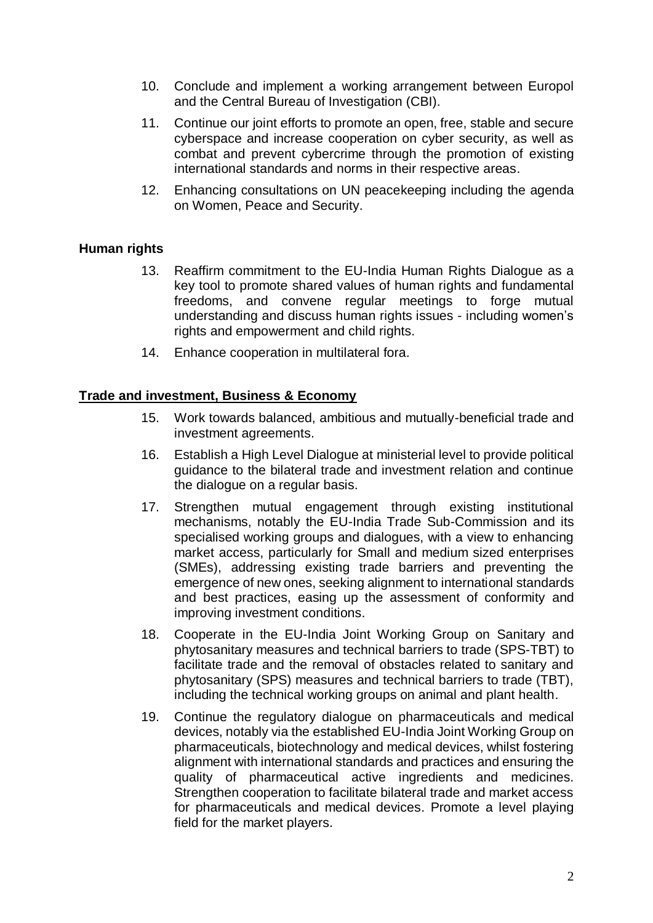- 10. Conclude and implement a working arrangement between Europol and the Central Bureau of Investigation (CBI).
- 11. Continue our joint efforts to promote an open, free, stable and secure cyberspace and increase cooperation on cyber security, as well as combat and prevent cybercrime through the promotion of existing international standards and norms in their respective areas.
- 12. Enhancing consultations on UN peacekeeping including the agenda on Women, Peace and Security.

# **Human rights**

- 13. Reaffirm commitment to the EU-India Human Rights Dialogue as a key tool to promote shared values of human rights and fundamental freedoms, and convene regular meetings to forge mutual understanding and discuss human rights issues - including women's rights and empowerment and child rights.
- 14. Enhance cooperation in multilateral fora.

### **Trade and investment, Business & Economy**

- 15. Work towards balanced, ambitious and mutually-beneficial trade and investment agreements.
- 16. Establish a High Level Dialogue at ministerial level to provide political guidance to the bilateral trade and investment relation and continue the dialogue on a regular basis.
- 17. Strengthen mutual engagement through existing institutional mechanisms, notably the EU-India Trade Sub-Commission and its specialised working groups and dialogues, with a view to enhancing market access, particularly for Small and medium sized enterprises (SMEs), addressing existing trade barriers and preventing the emergence of new ones, seeking alignment to international standards and best practices, easing up the assessment of conformity and improving investment conditions.
- 18. Cooperate in the EU-India Joint Working Group on Sanitary and phytosanitary measures and technical barriers to trade (SPS-TBT) to facilitate trade and the removal of obstacles related to sanitary and phytosanitary (SPS) measures and technical barriers to trade (TBT), including the technical working groups on animal and plant health.
- 19. Continue the regulatory dialogue on pharmaceuticals and medical devices, notably via the established EU-India Joint Working Group on pharmaceuticals, biotechnology and medical devices, whilst fostering alignment with international standards and practices and ensuring the quality of pharmaceutical active ingredients and medicines. Strengthen cooperation to facilitate bilateral trade and market access for pharmaceuticals and medical devices. Promote a level playing field for the market players.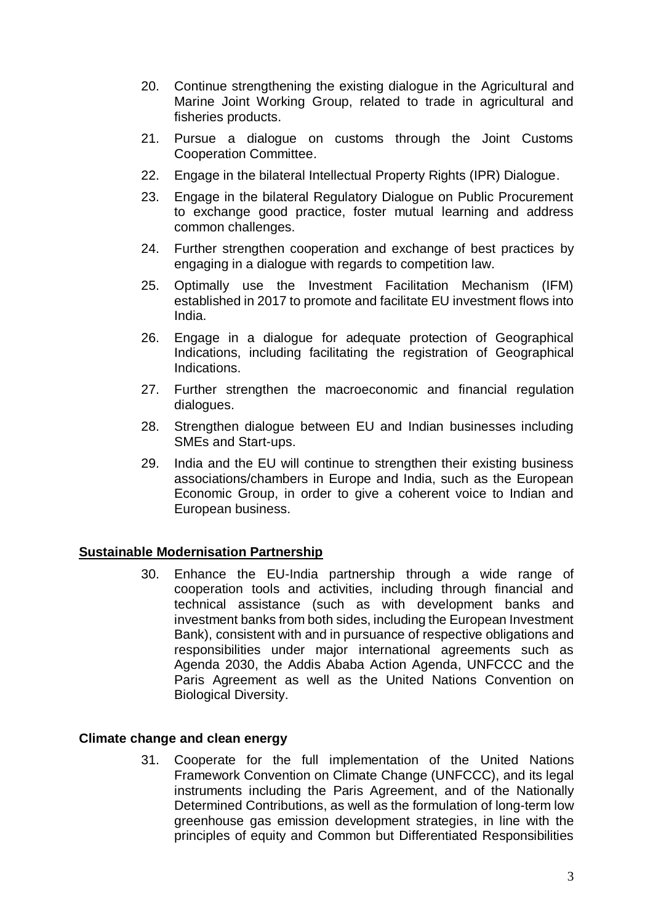- 20. Continue strengthening the existing dialogue in the Agricultural and Marine Joint Working Group, related to trade in agricultural and fisheries products.
- 21. Pursue a dialogue on customs through the Joint Customs Cooperation Committee.
- 22. Engage in the bilateral Intellectual Property Rights (IPR) Dialogue.
- 23. Engage in the bilateral Regulatory Dialogue on Public Procurement to exchange good practice, foster mutual learning and address common challenges.
- 24. Further strengthen cooperation and exchange of best practices by engaging in a dialogue with regards to competition law.
- 25. Optimally use the Investment Facilitation Mechanism (IFM) established in 2017 to promote and facilitate EU investment flows into India.
- 26. Engage in a dialogue for adequate protection of Geographical Indications, including facilitating the registration of Geographical **Indications**
- 27. Further strengthen the macroeconomic and financial regulation dialogues.
- 28. Strengthen dialogue between EU and Indian businesses including SMEs and Start-ups.
- 29. India and the EU will continue to strengthen their existing business associations/chambers in Europe and India, such as the European Economic Group, in order to give a coherent voice to Indian and European business.

### **Sustainable Modernisation Partnership**

30. Enhance the EU-India partnership through a wide range of cooperation tools and activities, including through financial and technical assistance (such as with development banks and investment banks from both sides, including the European Investment Bank), consistent with and in pursuance of respective obligations and responsibilities under major international agreements such as Agenda 2030, the Addis Ababa Action Agenda, UNFCCC and the Paris Agreement as well as the United Nations Convention on Biological Diversity.

#### **Climate change and clean energy**

31. Cooperate for the full implementation of the United Nations Framework Convention on Climate Change (UNFCCC), and its legal instruments including the Paris Agreement, and of the Nationally Determined Contributions, as well as the formulation of long-term low greenhouse gas emission development strategies, in line with the principles of equity and Common but Differentiated Responsibilities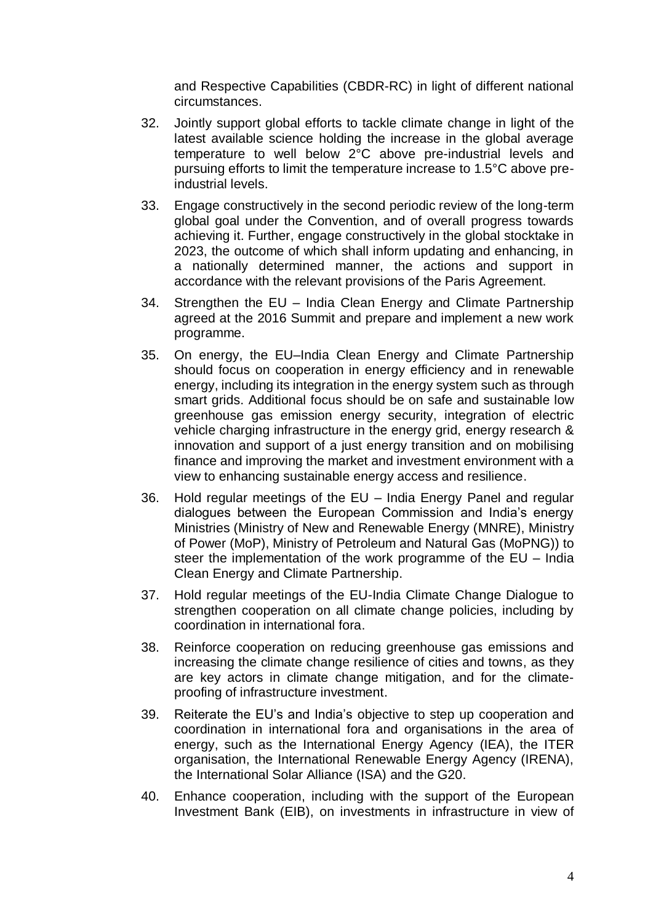and Respective Capabilities (CBDR-RC) in light of different national circumstances.

- 32. Jointly support global efforts to tackle climate change in light of the latest available science holding the increase in the global average temperature to well below 2°C above pre-industrial levels and pursuing efforts to limit the temperature increase to 1.5°C above preindustrial levels.
- 33. Engage constructively in the second periodic review of the long-term global goal under the Convention, and of overall progress towards achieving it. Further, engage constructively in the global stocktake in 2023, the outcome of which shall inform updating and enhancing, in a nationally determined manner, the actions and support in accordance with the relevant provisions of the Paris Agreement.
- 34. Strengthen the EU India Clean Energy and Climate Partnership agreed at the 2016 Summit and prepare and implement a new work programme.
- 35. On energy, the EU–India Clean Energy and Climate Partnership should focus on cooperation in energy efficiency and in renewable energy, including its integration in the energy system such as through smart grids. Additional focus should be on safe and sustainable low greenhouse gas emission energy security, integration of electric vehicle charging infrastructure in the energy grid, energy research & innovation and support of a just energy transition and on mobilising finance and improving the market and investment environment with a view to enhancing sustainable energy access and resilience.
- 36. Hold regular meetings of the EU India Energy Panel and regular dialogues between the European Commission and India's energy Ministries (Ministry of New and Renewable Energy (MNRE), Ministry of Power (MoP), Ministry of Petroleum and Natural Gas (MoPNG)) to steer the implementation of the work programme of the EU – India Clean Energy and Climate Partnership.
- 37. Hold regular meetings of the EU-India Climate Change Dialogue to strengthen cooperation on all climate change policies, including by coordination in international fora.
- 38. Reinforce cooperation on reducing greenhouse gas emissions and increasing the climate change resilience of cities and towns, as they are key actors in climate change mitigation, and for the climateproofing of infrastructure investment.
- 39. Reiterate the EU's and India's objective to step up cooperation and coordination in international fora and organisations in the area of energy, such as the International Energy Agency (IEA), the ITER organisation, the International Renewable Energy Agency (IRENA), the International Solar Alliance (ISA) and the G20.
- 40. Enhance cooperation, including with the support of the European Investment Bank (EIB), on investments in infrastructure in view of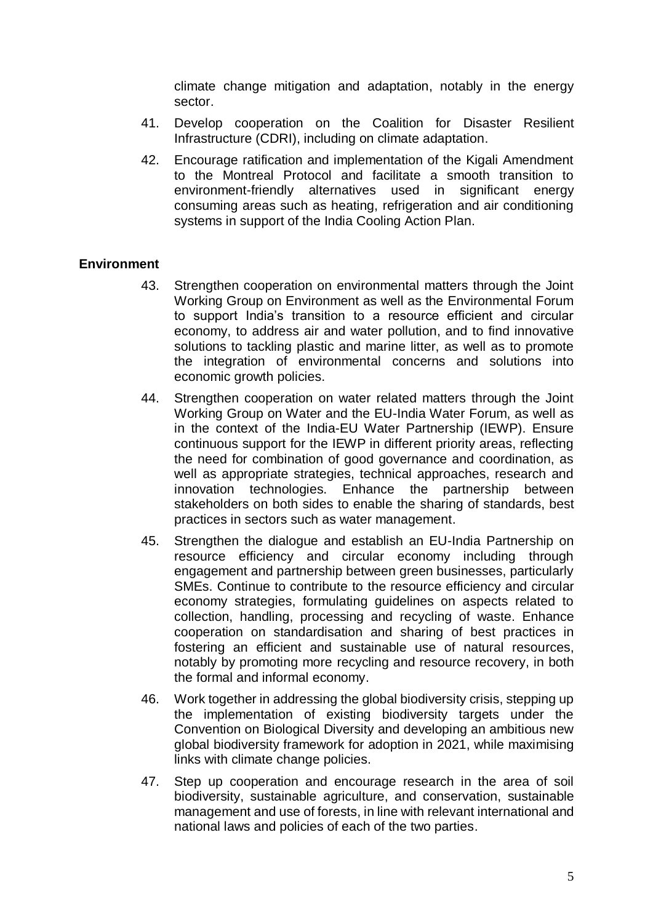climate change mitigation and adaptation, notably in the energy sector.

- 41. Develop cooperation on the Coalition for Disaster Resilient Infrastructure (CDRI), including on climate adaptation.
- 42. Encourage ratification and implementation of the Kigali Amendment to the Montreal Protocol and facilitate a smooth transition to environment-friendly alternatives used in significant energy consuming areas such as heating, refrigeration and air conditioning systems in support of the India Cooling Action Plan.

## **Environment**

- 43. Strengthen cooperation on environmental matters through the Joint Working Group on Environment as well as the Environmental Forum to support India's transition to a resource efficient and circular economy, to address air and water pollution, and to find innovative solutions to tackling plastic and marine litter, as well as to promote the integration of environmental concerns and solutions into economic growth policies.
- 44. Strengthen cooperation on water related matters through the Joint Working Group on Water and the EU-India Water Forum, as well as in the context of the India-EU Water Partnership (IEWP). Ensure continuous support for the IEWP in different priority areas, reflecting the need for combination of good governance and coordination, as well as appropriate strategies, technical approaches, research and innovation technologies. Enhance the partnership between stakeholders on both sides to enable the sharing of standards, best practices in sectors such as water management.
- 45. Strengthen the dialogue and establish an EU-India Partnership on resource efficiency and circular economy including through engagement and partnership between green businesses, particularly SMEs. Continue to contribute to the resource efficiency and circular economy strategies, formulating guidelines on aspects related to collection, handling, processing and recycling of waste. Enhance cooperation on standardisation and sharing of best practices in fostering an efficient and sustainable use of natural resources, notably by promoting more recycling and resource recovery, in both the formal and informal economy.
- 46. Work together in addressing the global biodiversity crisis, stepping up the implementation of existing biodiversity targets under the Convention on Biological Diversity and developing an ambitious new global biodiversity framework for adoption in 2021, while maximising links with climate change policies.
- 47. Step up cooperation and encourage research in the area of soil biodiversity, sustainable agriculture, and conservation, sustainable management and use of forests, in line with relevant international and national laws and policies of each of the two parties.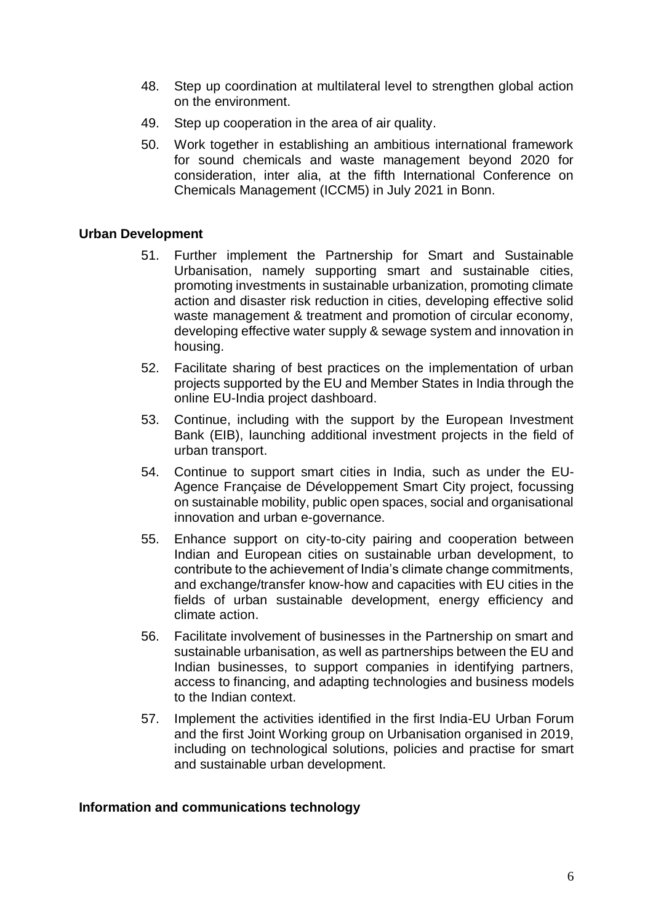- 48. Step up coordination at multilateral level to strengthen global action on the environment.
- 49. Step up cooperation in the area of air quality.
- 50. Work together in establishing an ambitious international framework for sound chemicals and waste management beyond 2020 for consideration, inter alia, at the fifth International Conference on Chemicals Management (ICCM5) in July 2021 in Bonn.

#### **Urban Development**

- 51. Further implement the Partnership for Smart and Sustainable Urbanisation, namely supporting smart and sustainable cities, promoting investments in sustainable urbanization, promoting climate action and disaster risk reduction in cities, developing effective solid waste management & treatment and promotion of circular economy, developing effective water supply & sewage system and innovation in housing.
- 52. Facilitate sharing of best practices on the implementation of urban projects supported by the EU and Member States in India through the online EU-India project dashboard.
- 53. Continue, including with the support by the European Investment Bank (EIB), launching additional investment projects in the field of urban transport.
- 54. Continue to support smart cities in India, such as under the EU-Agence Française de Développement Smart City project, focussing on sustainable mobility, public open spaces, social and organisational innovation and urban e-governance.
- 55. Enhance support on city-to-city pairing and cooperation between Indian and European cities on sustainable urban development, to contribute to the achievement of India's climate change commitments, and exchange/transfer know-how and capacities with EU cities in the fields of urban sustainable development, energy efficiency and climate action.
- 56. Facilitate involvement of businesses in the Partnership on smart and sustainable urbanisation, as well as partnerships between the EU and Indian businesses, to support companies in identifying partners, access to financing, and adapting technologies and business models to the Indian context.
- 57. Implement the activities identified in the first India-EU Urban Forum and the first Joint Working group on Urbanisation organised in 2019, including on technological solutions, policies and practise for smart and sustainable urban development.

#### **Information and communications technology**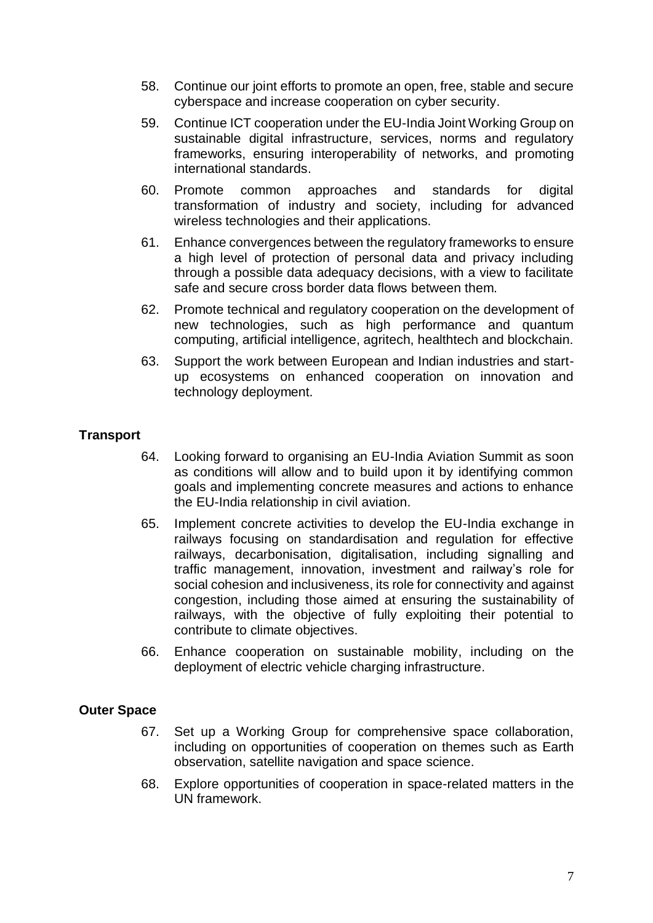- 58. Continue our joint efforts to promote an open, free, stable and secure cyberspace and increase cooperation on cyber security.
- 59. Continue ICT cooperation under the EU-India Joint Working Group on sustainable digital infrastructure, services, norms and regulatory frameworks, ensuring interoperability of networks, and promoting international standards.
- 60. Promote common approaches and standards for digital transformation of industry and society, including for advanced wireless technologies and their applications.
- 61. Enhance convergences between the regulatory frameworks to ensure a high level of protection of personal data and privacy including through a possible data adequacy decisions, with a view to facilitate safe and secure cross border data flows between them.
- 62. Promote technical and regulatory cooperation on the development of new technologies, such as high performance and quantum computing, artificial intelligence, agritech, healthtech and blockchain.
- 63. Support the work between European and Indian industries and startup ecosystems on enhanced cooperation on innovation and technology deployment.

# **Transport**

- 64. Looking forward to organising an EU-India Aviation Summit as soon as conditions will allow and to build upon it by identifying common goals and implementing concrete measures and actions to enhance the EU-India relationship in civil aviation.
- 65. Implement concrete activities to develop the EU-India exchange in railways focusing on standardisation and regulation for effective railways, decarbonisation, digitalisation, including signalling and traffic management, innovation, investment and railway's role for social cohesion and inclusiveness, its role for connectivity and against congestion, including those aimed at ensuring the sustainability of railways, with the objective of fully exploiting their potential to contribute to climate objectives.
- 66. Enhance cooperation on sustainable mobility, including on the deployment of electric vehicle charging infrastructure.

# **Outer Space**

- 67. Set up a Working Group for comprehensive space collaboration, including on opportunities of cooperation on themes such as Earth observation, satellite navigation and space science.
- 68. Explore opportunities of cooperation in space-related matters in the UN framework.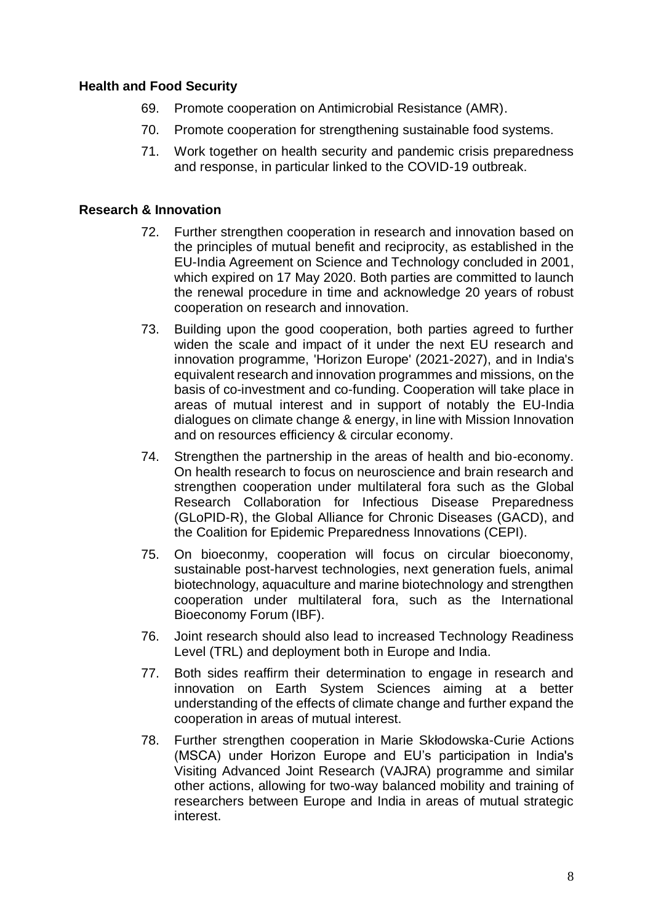## **Health and Food Security**

- 69. Promote cooperation on Antimicrobial Resistance (AMR).
- 70. Promote cooperation for strengthening sustainable food systems.
- 71. Work together on health security and pandemic crisis preparedness and response, in particular linked to the COVID-19 outbreak.

# **Research & Innovation**

- 72. Further strengthen cooperation in research and innovation based on the principles of mutual benefit and reciprocity, as established in the EU-India Agreement on Science and Technology concluded in 2001, which expired on 17 May 2020. Both parties are committed to launch the renewal procedure in time and acknowledge 20 years of robust cooperation on research and innovation.
- 73. Building upon the good cooperation, both parties agreed to further widen the scale and impact of it under the next EU research and innovation programme, 'Horizon Europe' (2021-2027), and in India's equivalent research and innovation programmes and missions, on the basis of co-investment and co-funding. Cooperation will take place in areas of mutual interest and in support of notably the EU-India dialogues on climate change & energy, in line with Mission Innovation and on resources efficiency & circular economy.
- 74. Strengthen the partnership in the areas of health and bio-economy. On health research to focus on neuroscience and brain research and strengthen cooperation under multilateral fora such as the Global Research Collaboration for Infectious Disease Preparedness (GLoPID-R), the Global Alliance for Chronic Diseases (GACD), and the Coalition for Epidemic Preparedness Innovations (CEPI).
- 75. On bioeconmy, cooperation will focus on circular bioeconomy, sustainable post-harvest technologies, next generation fuels, animal biotechnology, aquaculture and marine biotechnology and strengthen cooperation under multilateral fora, such as the International Bioeconomy Forum (IBF).
- 76. Joint research should also lead to increased Technology Readiness Level (TRL) and deployment both in Europe and India.
- 77. Both sides reaffirm their determination to engage in research and innovation on Earth System Sciences aiming at a better understanding of the effects of climate change and further expand the cooperation in areas of mutual interest.
- 78. Further strengthen cooperation in Marie Skłodowska-Curie Actions (MSCA) under Horizon Europe and EU's participation in India's Visiting Advanced Joint Research (VAJRA) programme and similar other actions, allowing for two-way balanced mobility and training of researchers between Europe and India in areas of mutual strategic interest.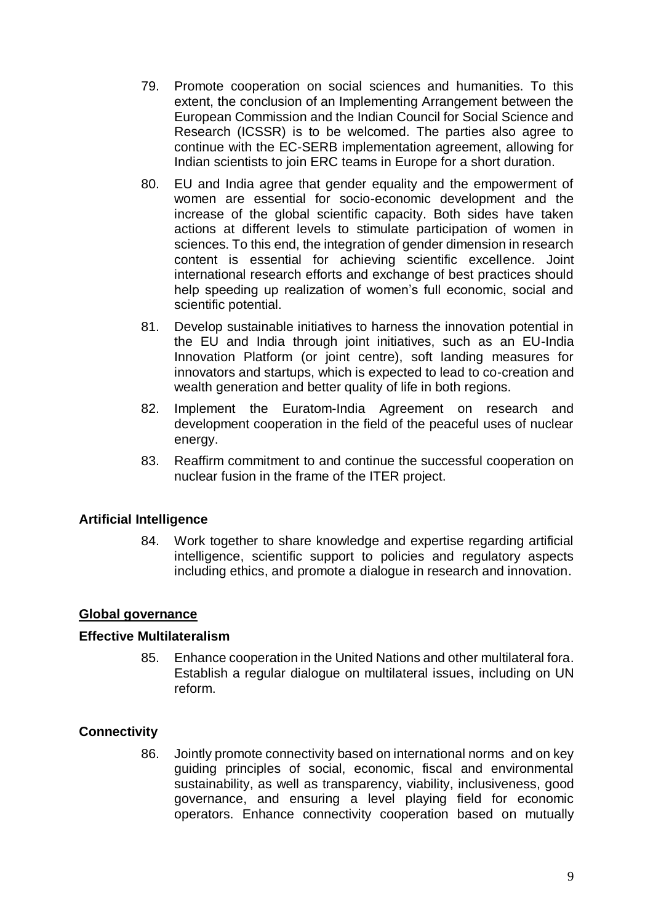- 79. Promote cooperation on social sciences and humanities. To this extent, the conclusion of an Implementing Arrangement between the European Commission and the Indian Council for Social Science and Research (ICSSR) is to be welcomed. The parties also agree to continue with the EC-SERB implementation agreement, allowing for Indian scientists to join ERC teams in Europe for a short duration.
- 80. EU and India agree that gender equality and the empowerment of women are essential for socio-economic development and the increase of the global scientific capacity. Both sides have taken actions at different levels to stimulate participation of women in sciences. To this end, the integration of gender dimension in research content is essential for achieving scientific excellence. Joint international research efforts and exchange of best practices should help speeding up realization of women's full economic, social and scientific potential.
- 81. Develop sustainable initiatives to harness the innovation potential in the EU and India through joint initiatives, such as an EU-India Innovation Platform (or joint centre), soft landing measures for innovators and startups, which is expected to lead to co-creation and wealth generation and better quality of life in both regions.
- 82. Implement the Euratom-India Agreement on research and development cooperation in the field of the peaceful uses of nuclear energy.
- 83. Reaffirm commitment to and continue the successful cooperation on nuclear fusion in the frame of the ITER project.

# **Artificial Intelligence**

84. Work together to share knowledge and expertise regarding artificial intelligence, scientific support to policies and regulatory aspects including ethics, and promote a dialogue in research and innovation.

# **Global governance**

### **Effective Multilateralism**

85. Enhance cooperation in the United Nations and other multilateral fora. Establish a regular dialogue on multilateral issues, including on UN reform.

# **Connectivity**

86. Jointly promote connectivity based on international norms and on key guiding principles of social, economic, fiscal and environmental sustainability, as well as transparency, viability, inclusiveness, good governance, and ensuring a level playing field for economic operators. Enhance connectivity cooperation based on mutually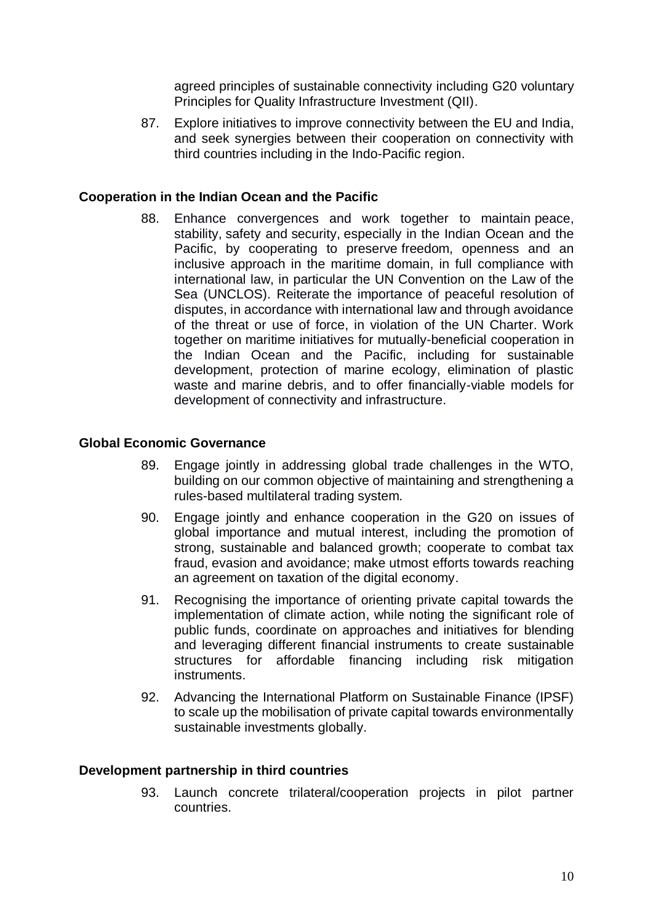agreed principles of sustainable connectivity including G20 voluntary Principles for Quality Infrastructure Investment (QII).

87. Explore initiatives to improve connectivity between the EU and India, and seek synergies between their cooperation on connectivity with third countries including in the Indo-Pacific region.

### **Cooperation in the Indian Ocean and the Pacific**

88. Enhance convergences and work together to maintain peace, stability, safety and security, especially in the Indian Ocean and the Pacific, by cooperating to preserve freedom, openness and an inclusive approach in the maritime domain, in full compliance with international law, in particular the UN Convention on the Law of the Sea (UNCLOS). Reiterate the importance of peaceful resolution of disputes, in accordance with international law and through avoidance of the threat or use of force, in violation of the UN Charter. Work together on maritime initiatives for mutually-beneficial cooperation in the Indian Ocean and the Pacific, including for sustainable development, protection of marine ecology, elimination of plastic waste and marine debris, and to offer financially-viable models for development of connectivity and infrastructure.

### **Global Economic Governance**

- 89. Engage jointly in addressing global trade challenges in the WTO, building on our common objective of maintaining and strengthening a rules-based multilateral trading system.
- 90. Engage jointly and enhance cooperation in the G20 on issues of global importance and mutual interest, including the promotion of strong, sustainable and balanced growth; cooperate to combat tax fraud, evasion and avoidance; make utmost efforts towards reaching an agreement on taxation of the digital economy.
- 91. Recognising the importance of orienting private capital towards the implementation of climate action, while noting the significant role of public funds, coordinate on approaches and initiatives for blending and leveraging different financial instruments to create sustainable structures for affordable financing including risk mitigation instruments.
- 92. Advancing the International Platform on Sustainable Finance (IPSF) to scale up the mobilisation of private capital towards environmentally sustainable investments globally.

### **Development partnership in third countries**

93. Launch concrete trilateral/cooperation projects in pilot partner countries.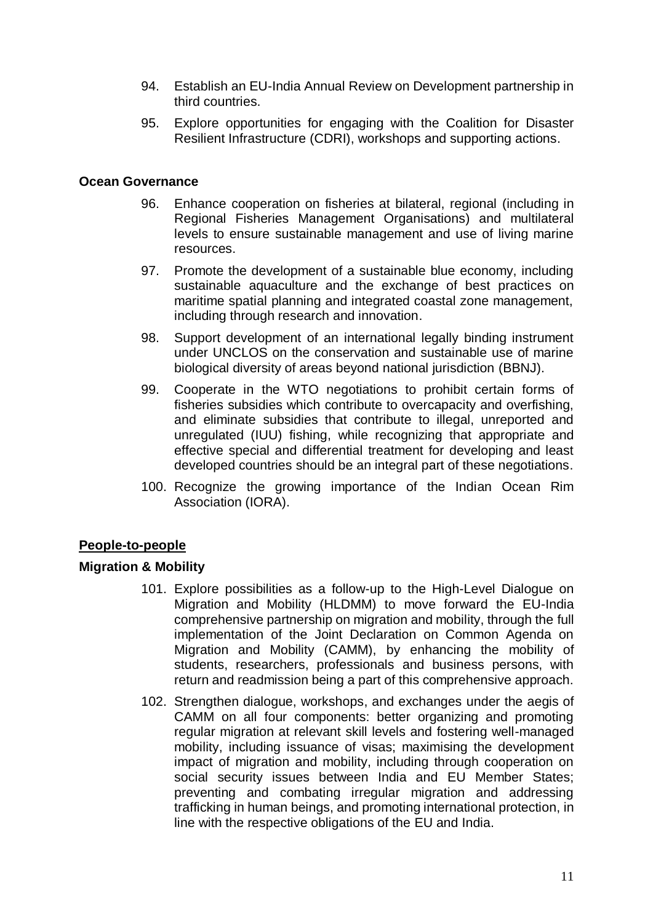- 94. Establish an EU-India Annual Review on Development partnership in third countries.
- 95. Explore opportunities for engaging with the Coalition for Disaster Resilient Infrastructure (CDRI), workshops and supporting actions.

### **Ocean Governance**

- 96. Enhance cooperation on fisheries at bilateral, regional (including in Regional Fisheries Management Organisations) and multilateral levels to ensure sustainable management and use of living marine resources.
- 97. Promote the development of a sustainable blue economy, including sustainable aquaculture and the exchange of best practices on maritime spatial planning and integrated coastal zone management, including through research and innovation.
- 98. Support development of an international legally binding instrument under UNCLOS on the conservation and sustainable use of marine biological diversity of areas beyond national jurisdiction (BBNJ).
- 99. Cooperate in the WTO negotiations to prohibit certain forms of fisheries subsidies which contribute to overcapacity and overfishing, and eliminate subsidies that contribute to illegal, unreported and unregulated (IUU) fishing, while recognizing that appropriate and effective special and differential treatment for developing and least developed countries should be an integral part of these negotiations.
- 100. Recognize the growing importance of the Indian Ocean Rim Association (IORA).

# **People-to-people**

### **Migration & Mobility**

- 101. Explore possibilities as a follow-up to the High-Level Dialogue on Migration and Mobility (HLDMM) to move forward the EU-India comprehensive partnership on migration and mobility, through the full implementation of the Joint Declaration on Common Agenda on Migration and Mobility (CAMM), by enhancing the mobility of students, researchers, professionals and business persons, with return and readmission being a part of this comprehensive approach.
- 102. Strengthen dialogue, workshops, and exchanges under the aegis of CAMM on all four components: better organizing and promoting regular migration at relevant skill levels and fostering well-managed mobility, including issuance of visas; maximising the development impact of migration and mobility, including through cooperation on social security issues between India and EU Member States; preventing and combating irregular migration and addressing trafficking in human beings, and promoting international protection, in line with the respective obligations of the EU and India.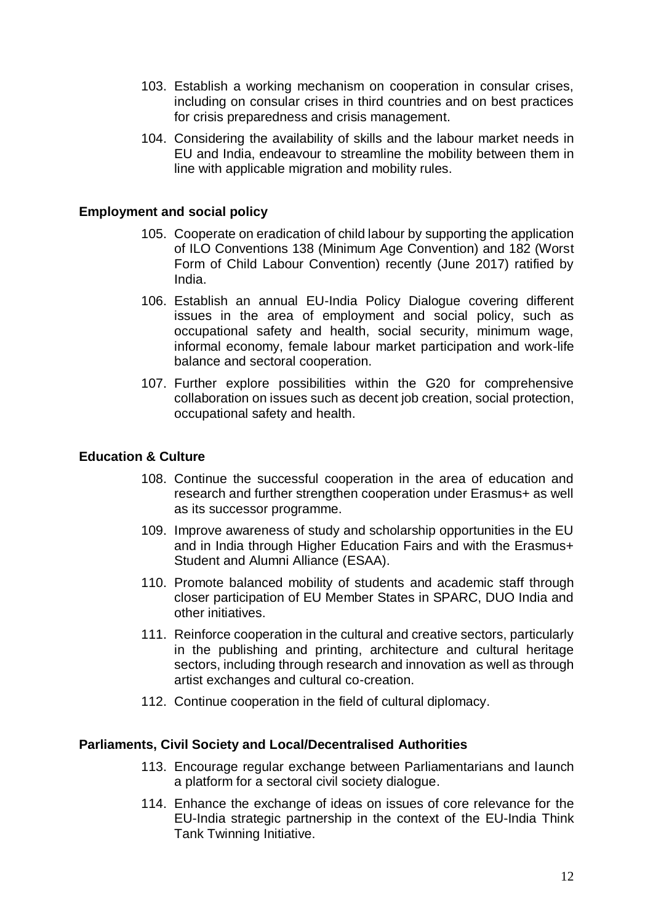- 103. Establish a working mechanism on cooperation in consular crises, including on consular crises in third countries and on best practices for crisis preparedness and crisis management.
- 104. Considering the availability of skills and the labour market needs in EU and India, endeavour to streamline the mobility between them in line with applicable migration and mobility rules.

### **Employment and social policy**

- 105. Cooperate on eradication of child labour by supporting the application of ILO Conventions 138 (Minimum Age Convention) and 182 (Worst Form of Child Labour Convention) recently (June 2017) ratified by India.
- 106. Establish an annual EU-India Policy Dialogue covering different issues in the area of employment and social policy, such as occupational safety and health, social security, minimum wage, informal economy, female labour market participation and work-life balance and sectoral cooperation.
- 107. Further explore possibilities within the G20 for comprehensive collaboration on issues such as decent job creation, social protection, occupational safety and health.

## **Education & Culture**

- 108. Continue the successful cooperation in the area of education and research and further strengthen cooperation under Erasmus+ as well as its successor programme.
- 109. Improve awareness of study and scholarship opportunities in the EU and in India through Higher Education Fairs and with the Erasmus+ Student and Alumni Alliance (ESAA).
- 110. Promote balanced mobility of students and academic staff through closer participation of EU Member States in SPARC, DUO India and other initiatives.
- 111. Reinforce cooperation in the cultural and creative sectors, particularly in the publishing and printing, architecture and cultural heritage sectors, including through research and innovation as well as through artist exchanges and cultural co-creation.
- 112. Continue cooperation in the field of cultural diplomacy.

### **Parliaments, Civil Society and Local/Decentralised Authorities**

- 113. Encourage regular exchange between Parliamentarians and launch a platform for a sectoral civil society dialogue.
- 114. Enhance the exchange of ideas on issues of core relevance for the EU-India strategic partnership in the context of the EU-India Think Tank Twinning Initiative.